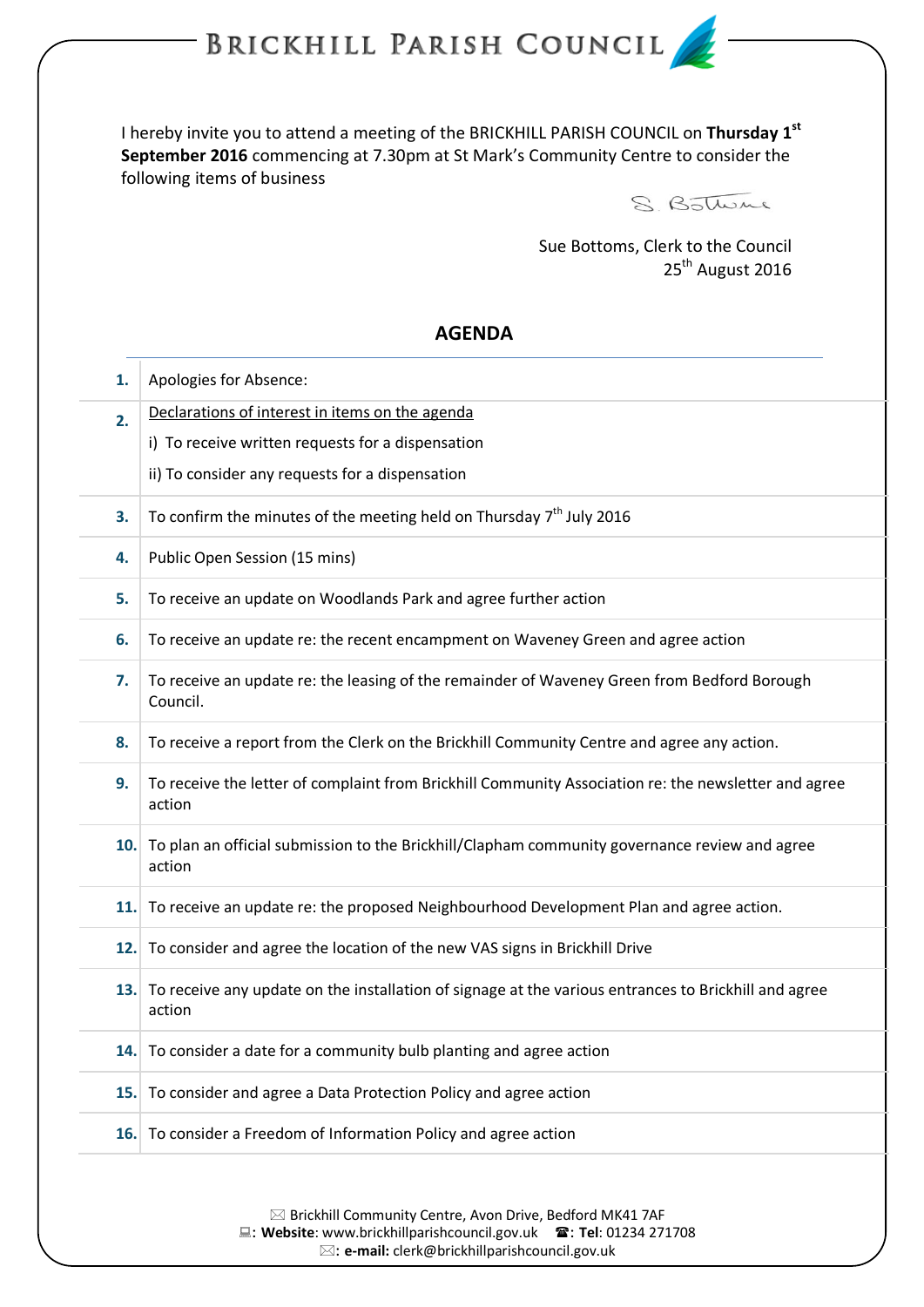## BRICKHILL PARISH COUNCIL

I hereby invite you to attend a meeting of the BRICKHILL PARISH COUNCIL on **Thursday 1 st September 2016** commencing at 7.30pm at St Mark's Community Centre to consider the following items of business



Sue Bottoms, Clerk to the Council 25<sup>th</sup> August 2016

## **AGENDA**

| 1.  | Apologies for Absence:                                                                                             |
|-----|--------------------------------------------------------------------------------------------------------------------|
| 2.  | Declarations of interest in items on the agenda                                                                    |
|     | i) To receive written requests for a dispensation                                                                  |
|     | ii) To consider any requests for a dispensation                                                                    |
| 3.  | To confirm the minutes of the meeting held on Thursday $7th$ July 2016                                             |
| 4.  | Public Open Session (15 mins)                                                                                      |
| 5.  | To receive an update on Woodlands Park and agree further action                                                    |
| 6.  | To receive an update re: the recent encampment on Waveney Green and agree action                                   |
| 7.  | To receive an update re: the leasing of the remainder of Waveney Green from Bedford Borough<br>Council.            |
| 8.  | To receive a report from the Clerk on the Brickhill Community Centre and agree any action.                         |
| 9.  | To receive the letter of complaint from Brickhill Community Association re: the newsletter and agree<br>action     |
|     | 10. To plan an official submission to the Brickhill/Clapham community governance review and agree<br>action        |
|     | 11. To receive an update re: the proposed Neighbourhood Development Plan and agree action.                         |
| 12. | To consider and agree the location of the new VAS signs in Brickhill Drive                                         |
|     | 13. To receive any update on the installation of signage at the various entrances to Brickhill and agree<br>action |
|     | 14. To consider a date for a community bulb planting and agree action                                              |
|     | 15. To consider and agree a Data Protection Policy and agree action                                                |
|     | 16. To consider a Freedom of Information Policy and agree action                                                   |
|     |                                                                                                                    |

 $\boxtimes$  Brickhill Community Centre, Avon Drive, Bedford MK41 7AF : **Website**[: www.brickhillparishcouncil.gov.uk](http://www.brickhillparishcouncil.gov.uk/) : **Tel**: 01234 271708

: **e-mail:** [clerk@brickhillparishcouncil.gov.uk](mailto:clerk@brickhillparishcouncil.gov.uk)